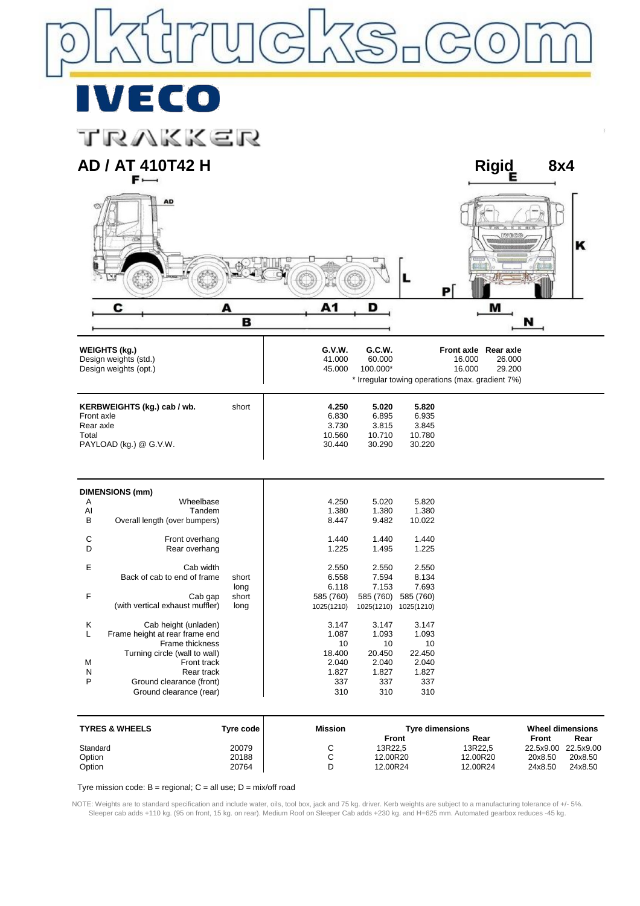VI) ECO

trakker



Tyre mission code:  $B =$  regional;  $C =$  all use;  $D =$  mix/off road

NOTE: Weights are to standard specification and include water, oils, tool box, jack and 75 kg. driver. Kerb weights are subject to a manufacturing tolerance of +/- 5%. Sleeper cab adds +110 kg. (95 on front, 15 kg. on rear). Medium Roof on Sleeper Cab adds +230 kg. and H=625 mm. Automated gearbox reduces -45 kg.

Standard 20079 C 13R22,5 13R22,5 22.5x9.00 22.5x9.00 Option 20188 C 12.00R20 12.00R20 20x8.50 20x8.50 Option 20764 D 12.00R24 12.00R24 24x8.50 24x8.50